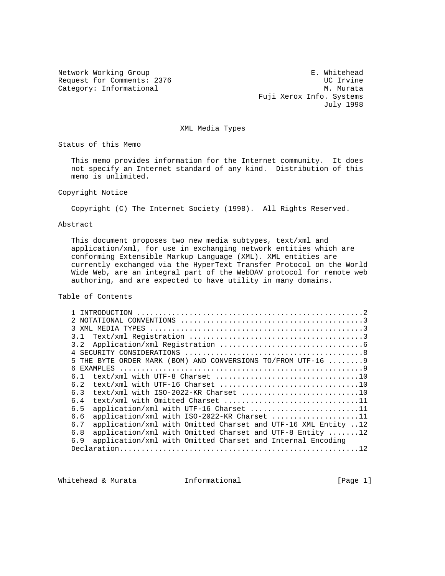Request for Comments: 2376 UC Irvine<br>
Category: Informational M. Murata Category: Informational

Network Working Group entitled and the matrix of the E. Whitehead Fuji Xerox Info. Systems July 1998

### XML Media Types

Status of this Memo

 This memo provides information for the Internet community. It does not specify an Internet standard of any kind. Distribution of this memo is unlimited.

### Copyright Notice

Copyright (C) The Internet Society (1998). All Rights Reserved.

### Abstract

 This document proposes two new media subtypes, text/xml and application/xml, for use in exchanging network entities which are conforming Extensible Markup Language (XML). XML entities are currently exchanged via the HyperText Transfer Protocol on the World Wide Web, are an integral part of the WebDAV protocol for remote web authoring, and are expected to have utility in many domains.

## Table of Contents

| 31                                                                            |
|-------------------------------------------------------------------------------|
| 3.2                                                                           |
|                                                                               |
| THE BYTE ORDER MARK (BOM) AND CONVERSIONS TO/FROM UTF-16  9<br>5              |
| EXAMPLES<br>6                                                                 |
| 6.1                                                                           |
| 6.2                                                                           |
| 6.3                                                                           |
| text/xml with Omitted Charset 11<br>6.4                                       |
| application/xml with UTF-16 Charset 11<br>6.5                                 |
| application/xml with ISO-2022-KR Charset 11<br>6.6                            |
| application/xml with Omitted Charset and UTF-16 XML Entity 12<br>6.7          |
| application/xml with Omitted Charset and UTF-8 Entity $\dots \dots 12$<br>6.8 |
| application/xml with Omitted Charset and Internal Encoding<br>6.9             |
|                                                                               |

Whitehead & Murata **Informational Informational** [Page 1]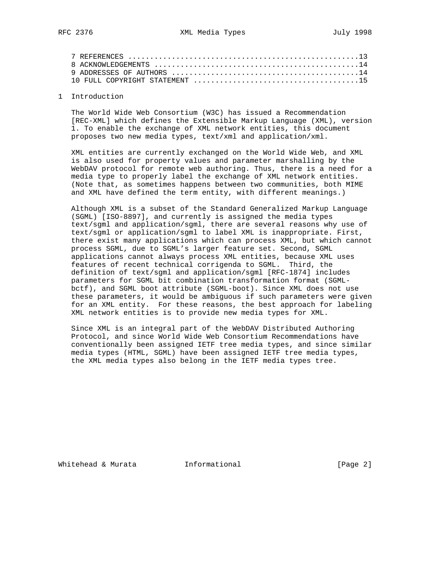| 10 FULL COPYRIGHT STATEMENT $\ldots \ldots \ldots \ldots \ldots \ldots \ldots \ldots \ldots \ldots \ldots \ldots \ldots$ |  |
|--------------------------------------------------------------------------------------------------------------------------|--|

#### 1 Introduction

 The World Wide Web Consortium (W3C) has issued a Recommendation [REC-XML] which defines the Extensible Markup Language (XML), version 1. To enable the exchange of XML network entities, this document proposes two new media types, text/xml and application/xml.

 XML entities are currently exchanged on the World Wide Web, and XML is also used for property values and parameter marshalling by the WebDAV protocol for remote web authoring. Thus, there is a need for a media type to properly label the exchange of XML network entities. (Note that, as sometimes happens between two communities, both MIME and XML have defined the term entity, with different meanings.)

 Although XML is a subset of the Standard Generalized Markup Language (SGML) [ISO-8897], and currently is assigned the media types text/sgml and application/sgml, there are several reasons why use of text/sgml or application/sgml to label XML is inappropriate. First, there exist many applications which can process XML, but which cannot process SGML, due to SGML's larger feature set. Second, SGML applications cannot always process XML entities, because XML uses features of recent technical corrigenda to SGML. Third, the definition of text/sgml and application/sgml [RFC-1874] includes parameters for SGML bit combination transformation format (SGML bctf), and SGML boot attribute (SGML-boot). Since XML does not use these parameters, it would be ambiguous if such parameters were given for an XML entity. For these reasons, the best approach for labeling XML network entities is to provide new media types for XML.

 Since XML is an integral part of the WebDAV Distributed Authoring Protocol, and since World Wide Web Consortium Recommendations have conventionally been assigned IETF tree media types, and since similar media types (HTML, SGML) have been assigned IETF tree media types, the XML media types also belong in the IETF media types tree.

Whitehead & Murata **Informational Informational** [Page 2]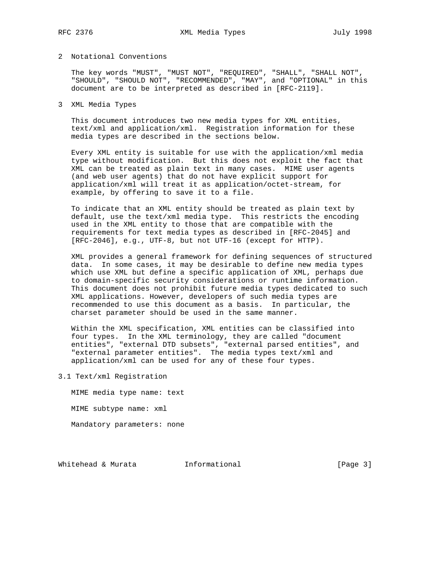## 2 Notational Conventions

 The key words "MUST", "MUST NOT", "REQUIRED", "SHALL", "SHALL NOT", "SHOULD", "SHOULD NOT", "RECOMMENDED", "MAY", and "OPTIONAL" in this document are to be interpreted as described in [RFC-2119].

# 3 XML Media Types

 This document introduces two new media types for XML entities, text/xml and application/xml. Registration information for these media types are described in the sections below.

 Every XML entity is suitable for use with the application/xml media type without modification. But this does not exploit the fact that XML can be treated as plain text in many cases. MIME user agents (and web user agents) that do not have explicit support for application/xml will treat it as application/octet-stream, for example, by offering to save it to a file.

 To indicate that an XML entity should be treated as plain text by default, use the text/xml media type. This restricts the encoding used in the XML entity to those that are compatible with the requirements for text media types as described in [RFC-2045] and [RFC-2046], e.g., UTF-8, but not UTF-16 (except for HTTP).

 XML provides a general framework for defining sequences of structured data. In some cases, it may be desirable to define new media types which use XML but define a specific application of XML, perhaps due to domain-specific security considerations or runtime information. This document does not prohibit future media types dedicated to such XML applications. However, developers of such media types are recommended to use this document as a basis. In particular, the charset parameter should be used in the same manner.

 Within the XML specification, XML entities can be classified into four types. In the XML terminology, they are called "document entities", "external DTD subsets", "external parsed entities", and "external parameter entities". The media types text/xml and application/xml can be used for any of these four types.

3.1 Text/xml Registration

 MIME media type name: text MIME subtype name: xml Mandatory parameters: none

Whitehead & Murata **Informational Informational** [Page 3]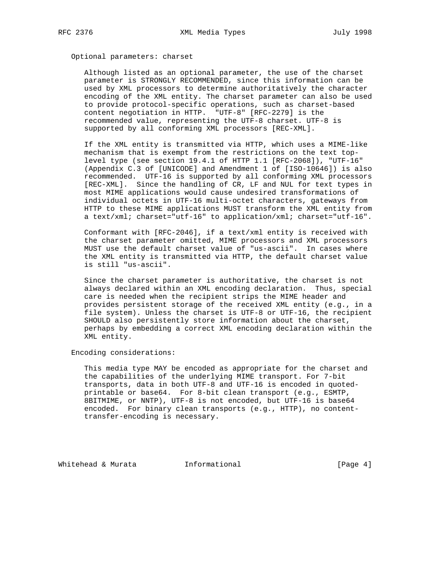## Optional parameters: charset

 Although listed as an optional parameter, the use of the charset parameter is STRONGLY RECOMMENDED, since this information can be used by XML processors to determine authoritatively the character encoding of the XML entity. The charset parameter can also be used to provide protocol-specific operations, such as charset-based content negotiation in HTTP. "UTF-8" [RFC-2279] is the recommended value, representing the UTF-8 charset. UTF-8 is supported by all conforming XML processors [REC-XML].

 If the XML entity is transmitted via HTTP, which uses a MIME-like mechanism that is exempt from the restrictions on the text top level type (see section 19.4.1 of HTTP 1.1 [RFC-2068]), "UTF-16" (Appendix C.3 of [UNICODE] and Amendment 1 of [ISO-10646]) is also recommended. UTF-16 is supported by all conforming XML processors [REC-XML]. Since the handling of CR, LF and NUL for text types in most MIME applications would cause undesired transformations of individual octets in UTF-16 multi-octet characters, gateways from HTTP to these MIME applications MUST transform the XML entity from a text/xml; charset="utf-16" to application/xml; charset="utf-16".

 Conformant with [RFC-2046], if a text/xml entity is received with the charset parameter omitted, MIME processors and XML processors MUST use the default charset value of "us-ascii". In cases where the XML entity is transmitted via HTTP, the default charset value is still "us-ascii".

 Since the charset parameter is authoritative, the charset is not always declared within an XML encoding declaration. Thus, special care is needed when the recipient strips the MIME header and provides persistent storage of the received XML entity (e.g., in a file system). Unless the charset is UTF-8 or UTF-16, the recipient SHOULD also persistently store information about the charset, perhaps by embedding a correct XML encoding declaration within the XML entity.

Encoding considerations:

 This media type MAY be encoded as appropriate for the charset and the capabilities of the underlying MIME transport. For 7-bit transports, data in both UTF-8 and UTF-16 is encoded in quoted printable or base64. For 8-bit clean transport (e.g., ESMTP, 8BITMIME, or NNTP), UTF-8 is not encoded, but UTF-16 is base64 encoded. For binary clean transports (e.g., HTTP), no content transfer-encoding is necessary.

Whitehead & Murata **Informational Informational** [Page 4]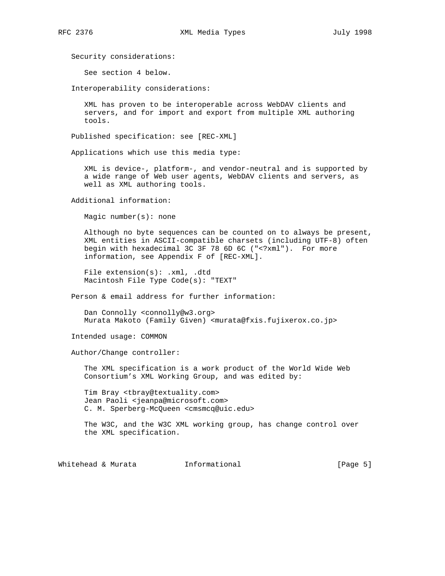Security considerations:

See section 4 below.

Interoperability considerations:

 XML has proven to be interoperable across WebDAV clients and servers, and for import and export from multiple XML authoring tools.

Published specification: see [REC-XML]

Applications which use this media type:

 XML is device-, platform-, and vendor-neutral and is supported by a wide range of Web user agents, WebDAV clients and servers, as well as XML authoring tools.

Additional information:

Magic number(s): none

 Although no byte sequences can be counted on to always be present, XML entities in ASCII-compatible charsets (including UTF-8) often begin with hexadecimal 3C 3F 78 6D 6C ("<?xml"). For more information, see Appendix F of [REC-XML].

File extension(s): .xml, .dtd Macintosh File Type Code(s): "TEXT"

Person & email address for further information:

 Dan Connolly <connolly@w3.org> Murata Makoto (Family Given) <murata@fxis.fujixerox.co.jp>

Intended usage: COMMON

Author/Change controller:

 The XML specification is a work product of the World Wide Web Consortium's XML Working Group, and was edited by:

 Tim Bray <tbray@textuality.com> Jean Paoli <jeanpa@microsoft.com> C. M. Sperberg-McQueen <cmsmcq@uic.edu>

 The W3C, and the W3C XML working group, has change control over the XML specification.

Whitehead & Murata **Informational Informational** [Page 5]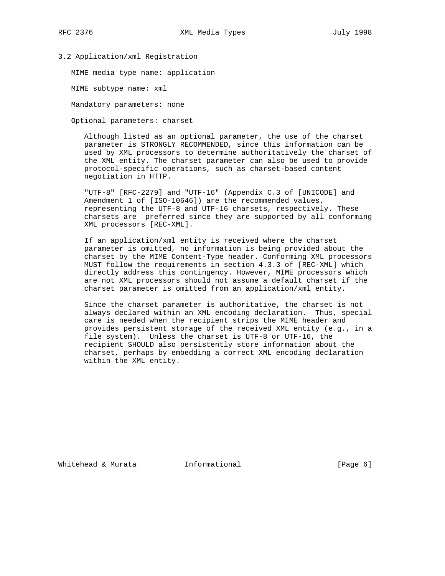## 3.2 Application/xml Registration

MIME media type name: application

MIME subtype name: xml

Mandatory parameters: none

Optional parameters: charset

 Although listed as an optional parameter, the use of the charset parameter is STRONGLY RECOMMENDED, since this information can be used by XML processors to determine authoritatively the charset of the XML entity. The charset parameter can also be used to provide protocol-specific operations, such as charset-based content negotiation in HTTP.

 "UTF-8" [RFC-2279] and "UTF-16" (Appendix C.3 of [UNICODE] and Amendment 1 of [ISO-10646]) are the recommended values, representing the UTF-8 and UTF-16 charsets, respectively. These charsets are preferred since they are supported by all conforming XML processors [REC-XML].

 If an application/xml entity is received where the charset parameter is omitted, no information is being provided about the charset by the MIME Content-Type header. Conforming XML processors MUST follow the requirements in section 4.3.3 of [REC-XML] which directly address this contingency. However, MIME processors which are not XML processors should not assume a default charset if the charset parameter is omitted from an application/xml entity.

 Since the charset parameter is authoritative, the charset is not always declared within an XML encoding declaration. Thus, special care is needed when the recipient strips the MIME header and provides persistent storage of the received XML entity (e.g., in a file system). Unless the charset is UTF-8 or UTF-16, the recipient SHOULD also persistently store information about the charset, perhaps by embedding a correct XML encoding declaration within the XML entity.

Whitehead & Murata **Informational Informational** [Page 6]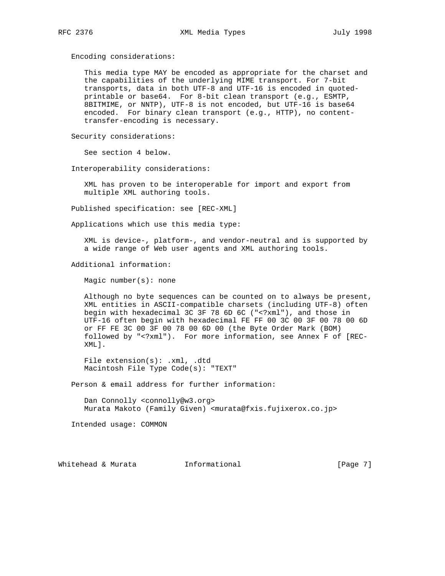Encoding considerations:

 This media type MAY be encoded as appropriate for the charset and the capabilities of the underlying MIME transport. For 7-bit transports, data in both UTF-8 and UTF-16 is encoded in quoted printable or base64. For 8-bit clean transport (e.g., ESMTP, 8BITMIME, or NNTP), UTF-8 is not encoded, but UTF-16 is base64 encoded. For binary clean transport (e.g., HTTP), no content transfer-encoding is necessary.

Security considerations:

See section 4 below.

Interoperability considerations:

 XML has proven to be interoperable for import and export from multiple XML authoring tools.

Published specification: see [REC-XML]

Applications which use this media type:

 XML is device-, platform-, and vendor-neutral and is supported by a wide range of Web user agents and XML authoring tools.

Additional information:

Magic number(s): none

 Although no byte sequences can be counted on to always be present, XML entities in ASCII-compatible charsets (including UTF-8) often begin with hexadecimal 3C 3F 78 6D 6C ("<?xml"), and those in UTF-16 often begin with hexadecimal FE FF 00 3C 00 3F 00 78 00 6D or FF FE 3C 00 3F 00 78 00 6D 00 (the Byte Order Mark (BOM) followed by "<?xml"). For more information, see Annex F of [REC- XML].

File extension(s): .xml, .dtd Macintosh File Type Code(s): "TEXT"

Person & email address for further information:

 Dan Connolly <connolly@w3.org> Murata Makoto (Family Given) <murata@fxis.fujixerox.co.jp>

Intended usage: COMMON

Whitehead & Murata **Informational Informational** [Page 7]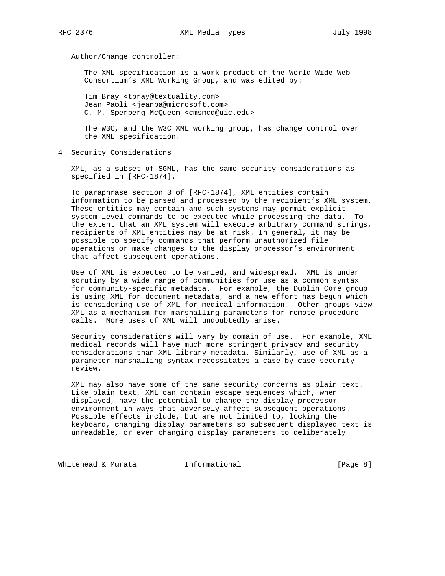Author/Change controller:

 The XML specification is a work product of the World Wide Web Consortium's XML Working Group, and was edited by:

 Tim Bray <tbray@textuality.com> Jean Paoli <jeanpa@microsoft.com> C. M. Sperberg-McQueen <cmsmcq@uic.edu>

 The W3C, and the W3C XML working group, has change control over the XML specification.

4 Security Considerations

 XML, as a subset of SGML, has the same security considerations as specified in [RFC-1874].

 To paraphrase section 3 of [RFC-1874], XML entities contain information to be parsed and processed by the recipient's XML system. These entities may contain and such systems may permit explicit system level commands to be executed while processing the data. To the extent that an XML system will execute arbitrary command strings, recipients of XML entities may be at risk. In general, it may be possible to specify commands that perform unauthorized file operations or make changes to the display processor's environment that affect subsequent operations.

 Use of XML is expected to be varied, and widespread. XML is under scrutiny by a wide range of communities for use as a common syntax for community-specific metadata. For example, the Dublin Core group is using XML for document metadata, and a new effort has begun which is considering use of XML for medical information. Other groups view XML as a mechanism for marshalling parameters for remote procedure calls. More uses of XML will undoubtedly arise.

 Security considerations will vary by domain of use. For example, XML medical records will have much more stringent privacy and security considerations than XML library metadata. Similarly, use of XML as a parameter marshalling syntax necessitates a case by case security review.

 XML may also have some of the same security concerns as plain text. Like plain text, XML can contain escape sequences which, when displayed, have the potential to change the display processor environment in ways that adversely affect subsequent operations. Possible effects include, but are not limited to, locking the keyboard, changing display parameters so subsequent displayed text is unreadable, or even changing display parameters to deliberately

Whitehead & Murata **Informational Informational** [Page 8]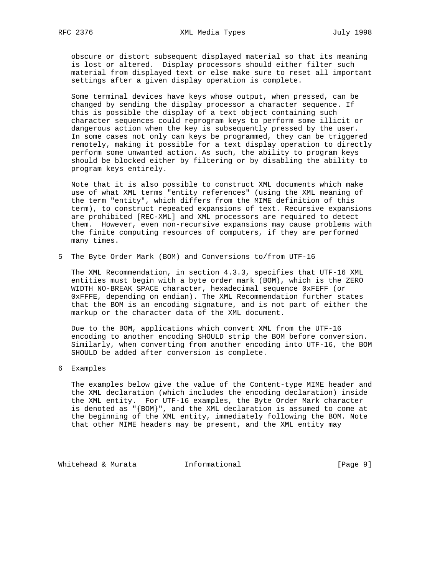obscure or distort subsequent displayed material so that its meaning is lost or altered. Display processors should either filter such material from displayed text or else make sure to reset all important settings after a given display operation is complete.

 Some terminal devices have keys whose output, when pressed, can be changed by sending the display processor a character sequence. If this is possible the display of a text object containing such character sequences could reprogram keys to perform some illicit or dangerous action when the key is subsequently pressed by the user. In some cases not only can keys be programmed, they can be triggered remotely, making it possible for a text display operation to directly perform some unwanted action. As such, the ability to program keys should be blocked either by filtering or by disabling the ability to program keys entirely.

 Note that it is also possible to construct XML documents which make use of what XML terms "entity references" (using the XML meaning of the term "entity", which differs from the MIME definition of this term), to construct repeated expansions of text. Recursive expansions are prohibited [REC-XML] and XML processors are required to detect them. However, even non-recursive expansions may cause problems with the finite computing resources of computers, if they are performed many times.

5 The Byte Order Mark (BOM) and Conversions to/from UTF-16

 The XML Recommendation, in section 4.3.3, specifies that UTF-16 XML entities must begin with a byte order mark (BOM), which is the ZERO WIDTH NO-BREAK SPACE character, hexadecimal sequence 0xFEFF (or 0xFFFE, depending on endian). The XML Recommendation further states that the BOM is an encoding signature, and is not part of either the markup or the character data of the XML document.

 Due to the BOM, applications which convert XML from the UTF-16 encoding to another encoding SHOULD strip the BOM before conversion. Similarly, when converting from another encoding into UTF-16, the BOM SHOULD be added after conversion is complete.

6 Examples

 The examples below give the value of the Content-type MIME header and the XML declaration (which includes the encoding declaration) inside the XML entity. For UTF-16 examples, the Byte Order Mark character is denoted as "{BOM}", and the XML declaration is assumed to come at the beginning of the XML entity, immediately following the BOM. Note that other MIME headers may be present, and the XML entity may

Whitehead & Murata **Informational Informational Informational**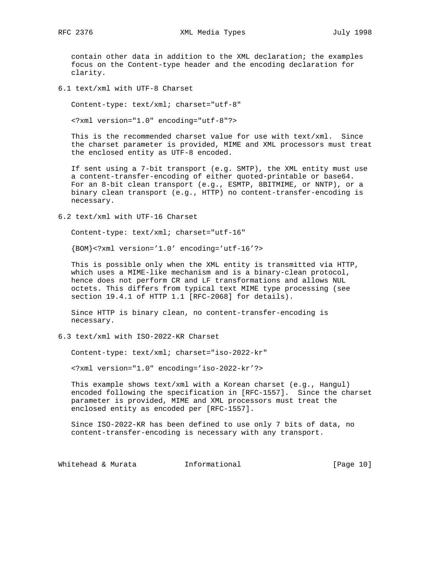contain other data in addition to the XML declaration; the examples focus on the Content-type header and the encoding declaration for clarity.

6.1 text/xml with UTF-8 Charset

Content-type: text/xml; charset="utf-8"

<?xml version="1.0" encoding="utf-8"?>

 This is the recommended charset value for use with text/xml. Since the charset parameter is provided, MIME and XML processors must treat the enclosed entity as UTF-8 encoded.

 If sent using a 7-bit transport (e.g. SMTP), the XML entity must use a content-transfer-encoding of either quoted-printable or base64. For an 8-bit clean transport (e.g., ESMTP, 8BITMIME, or NNTP), or a binary clean transport (e.g., HTTP) no content-transfer-encoding is necessary.

6.2 text/xml with UTF-16 Charset

Content-type: text/xml; charset="utf-16"

{BOM}<?xml version='1.0' encoding='utf-16'?>

 This is possible only when the XML entity is transmitted via HTTP, which uses a MIME-like mechanism and is a binary-clean protocol, hence does not perform CR and LF transformations and allows NUL octets. This differs from typical text MIME type processing (see section 19.4.1 of HTTP 1.1 [RFC-2068] for details).

 Since HTTP is binary clean, no content-transfer-encoding is necessary.

6.3 text/xml with ISO-2022-KR Charset

Content-type: text/xml; charset="iso-2022-kr"

<?xml version="1.0" encoding='iso-2022-kr'?>

 This example shows text/xml with a Korean charset (e.g., Hangul) encoded following the specification in [RFC-1557]. Since the charset parameter is provided, MIME and XML processors must treat the enclosed entity as encoded per [RFC-1557].

 Since ISO-2022-KR has been defined to use only 7 bits of data, no content-transfer-encoding is necessary with any transport.

Whitehead & Murata **Informational** [Page 10]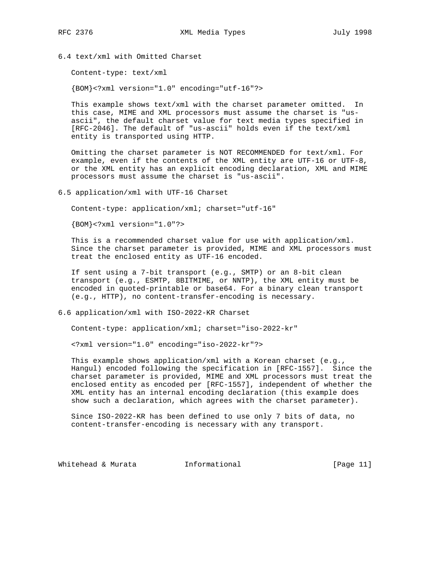6.4 text/xml with Omitted Charset

Content-type: text/xml

{BOM}<?xml version="1.0" encoding="utf-16"?>

 This example shows text/xml with the charset parameter omitted. In this case, MIME and XML processors must assume the charset is "us ascii", the default charset value for text media types specified in [RFC-2046]. The default of "us-ascii" holds even if the text/xml entity is transported using HTTP.

 Omitting the charset parameter is NOT RECOMMENDED for text/xml. For example, even if the contents of the XML entity are UTF-16 or UTF-8, or the XML entity has an explicit encoding declaration, XML and MIME processors must assume the charset is "us-ascii".

6.5 application/xml with UTF-16 Charset

Content-type: application/xml; charset="utf-16"

{BOM}<?xml version="1.0"?>

 This is a recommended charset value for use with application/xml. Since the charset parameter is provided, MIME and XML processors must treat the enclosed entity as UTF-16 encoded.

 If sent using a 7-bit transport (e.g., SMTP) or an 8-bit clean transport (e.g., ESMTP, 8BITMIME, or NNTP), the XML entity must be encoded in quoted-printable or base64. For a binary clean transport (e.g., HTTP), no content-transfer-encoding is necessary.

6.6 application/xml with ISO-2022-KR Charset

Content-type: application/xml; charset="iso-2022-kr"

<?xml version="1.0" encoding="iso-2022-kr"?>

 This example shows application/xml with a Korean charset (e.g., Hangul) encoded following the specification in [RFC-1557]. Since the charset parameter is provided, MIME and XML processors must treat the enclosed entity as encoded per [RFC-1557], independent of whether the XML entity has an internal encoding declaration (this example does show such a declaration, which agrees with the charset parameter).

 Since ISO-2022-KR has been defined to use only 7 bits of data, no content-transfer-encoding is necessary with any transport.

Whitehead & Murata **Informational Informational** [Page 11]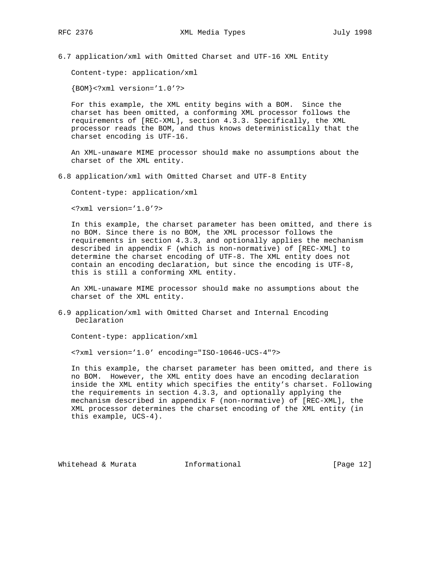RFC 2376 XML Media Types July 1998

6.7 application/xml with Omitted Charset and UTF-16 XML Entity

Content-type: application/xml

{BOM}<?xml version='1.0'?>

 For this example, the XML entity begins with a BOM. Since the charset has been omitted, a conforming XML processor follows the requirements of [REC-XML], section 4.3.3. Specifically, the XML processor reads the BOM, and thus knows deterministically that the charset encoding is UTF-16.

 An XML-unaware MIME processor should make no assumptions about the charset of the XML entity.

6.8 application/xml with Omitted Charset and UTF-8 Entity

Content-type: application/xml

<?xml version='1.0'?>

 In this example, the charset parameter has been omitted, and there is no BOM. Since there is no BOM, the XML processor follows the requirements in section 4.3.3, and optionally applies the mechanism described in appendix F (which is non-normative) of [REC-XML] to determine the charset encoding of UTF-8. The XML entity does not contain an encoding declaration, but since the encoding is UTF-8, this is still a conforming XML entity.

 An XML-unaware MIME processor should make no assumptions about the charset of the XML entity.

6.9 application/xml with Omitted Charset and Internal Encoding Declaration

Content-type: application/xml

<?xml version='1.0' encoding="ISO-10646-UCS-4"?>

 In this example, the charset parameter has been omitted, and there is no BOM. However, the XML entity does have an encoding declaration inside the XML entity which specifies the entity's charset. Following the requirements in section 4.3.3, and optionally applying the mechanism described in appendix F (non-normative) of [REC-XML], the XML processor determines the charset encoding of the XML entity (in this example, UCS-4).

Whitehead & Murata **Informational Informational** [Page 12]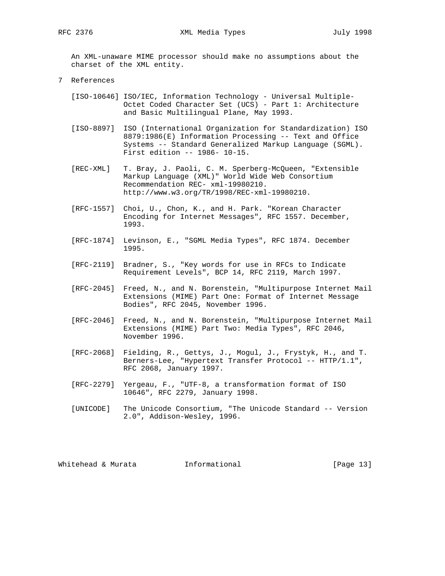An XML-unaware MIME processor should make no assumptions about the charset of the XML entity.

- 7 References
	- [ISO-10646] ISO/IEC, Information Technology Universal Multiple- Octet Coded Character Set (UCS) - Part 1: Architecture and Basic Multilingual Plane, May 1993.
	- [ISO-8897] ISO (International Organization for Standardization) ISO 8879:1986(E) Information Processing -- Text and Office Systems -- Standard Generalized Markup Language (SGML). First edition -- 1986- 10-15.
	- [REC-XML] T. Bray, J. Paoli, C. M. Sperberg-McQueen, "Extensible Markup Language (XML)" World Wide Web Consortium Recommendation REC- xml-19980210. http://www.w3.org/TR/1998/REC-xml-19980210.
	- [RFC-1557] Choi, U., Chon, K., and H. Park. "Korean Character Encoding for Internet Messages", RFC 1557. December, 1993.
	- [RFC-1874] Levinson, E., "SGML Media Types", RFC 1874. December 1995.
	- [RFC-2119] Bradner, S., "Key words for use in RFCs to Indicate Requirement Levels", BCP 14, RFC 2119, March 1997.
	- [RFC-2045] Freed, N., and N. Borenstein, "Multipurpose Internet Mail Extensions (MIME) Part One: Format of Internet Message Bodies", RFC 2045, November 1996.
	- [RFC-2046] Freed, N., and N. Borenstein, "Multipurpose Internet Mail Extensions (MIME) Part Two: Media Types", RFC 2046, November 1996.
	- [RFC-2068] Fielding, R., Gettys, J., Mogul, J., Frystyk, H., and T. Berners-Lee, "Hypertext Transfer Protocol -- HTTP/1.1", RFC 2068, January 1997.
	- [RFC-2279] Yergeau, F., "UTF-8, a transformation format of ISO 10646", RFC 2279, January 1998.
	- [UNICODE] The Unicode Consortium, "The Unicode Standard -- Version 2.0", Addison-Wesley, 1996.

Whitehead & Murata **Informational** [Page 13]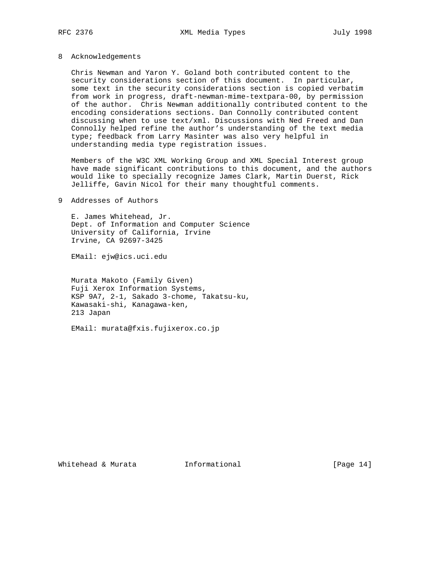#### 8 Acknowledgements

 Chris Newman and Yaron Y. Goland both contributed content to the security considerations section of this document. In particular, some text in the security considerations section is copied verbatim from work in progress, draft-newman-mime-textpara-00, by permission of the author. Chris Newman additionally contributed content to the encoding considerations sections. Dan Connolly contributed content discussing when to use text/xml. Discussions with Ned Freed and Dan Connolly helped refine the author's understanding of the text media type; feedback from Larry Masinter was also very helpful in understanding media type registration issues.

 Members of the W3C XML Working Group and XML Special Interest group have made significant contributions to this document, and the authors would like to specially recognize James Clark, Martin Duerst, Rick Jelliffe, Gavin Nicol for their many thoughtful comments.

## 9 Addresses of Authors

 E. James Whitehead, Jr. Dept. of Information and Computer Science University of California, Irvine Irvine, CA 92697-3425

EMail: ejw@ics.uci.edu

 Murata Makoto (Family Given) Fuji Xerox Information Systems, KSP 9A7, 2-1, Sakado 3-chome, Takatsu-ku, Kawasaki-shi, Kanagawa-ken, 213 Japan

EMail: murata@fxis.fujixerox.co.jp